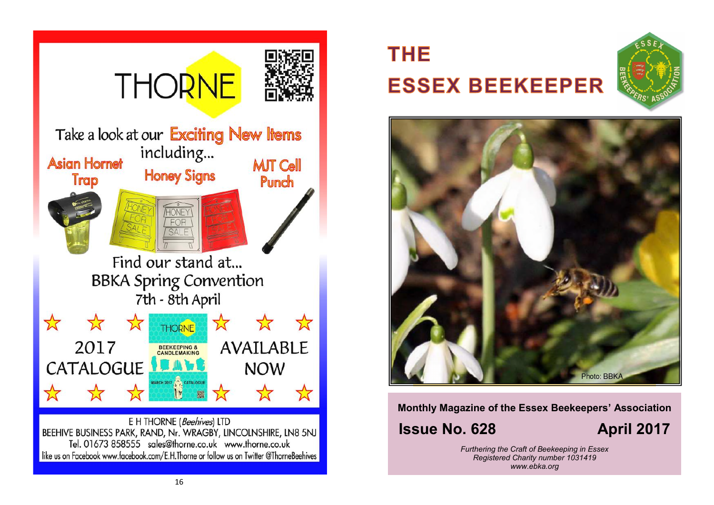

# **THE ESSEX BEEKEEPER**





**Monthly Magazine of the Essex Beekeepers' Association**

# **Issue No. 628 April 2017**

*Furthering the Craft of Beekeeping in Essex Registered Charity number 1031419 www.ebka.org*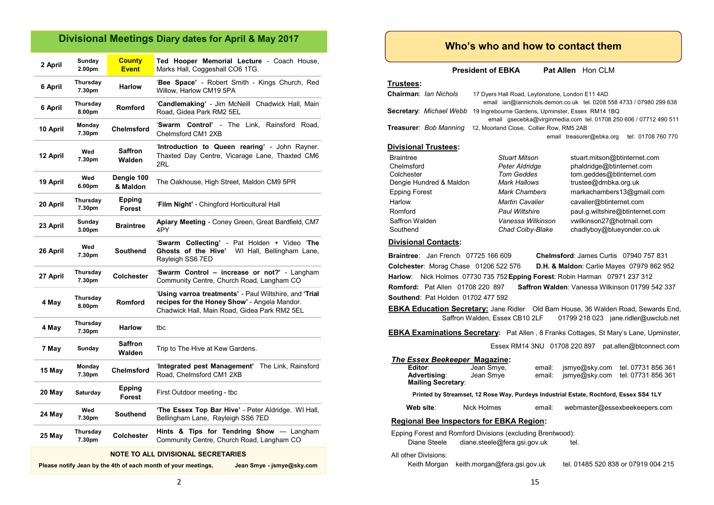## **Divisional Meetings Diary dates for April & May 2017**

| 2 April  | Sunday<br>2.00pm             | <b>County</b><br><b>Event</b> | Ted Hooper Memorial Lecture - Coach House,<br>Marks Hall, Coggeshall CO6 1TG.                                                                          |  |
|----------|------------------------------|-------------------------------|--------------------------------------------------------------------------------------------------------------------------------------------------------|--|
| 6 April  | Thursday<br>7.30pm           | <b>Harlow</b>                 | 'Bee Space' - Robert Smith - Kings Church, Red<br>Willow, Harlow CM19 5PA                                                                              |  |
| 6 April  | Thursday<br>8.00pm           | <b>Romford</b>                | 'Candlemaking' - Jim McNeill Chadwick Hall, Main<br>Road, Gidea Park RM2 5EL                                                                           |  |
| 10 April | Monday<br>7.30pm             | <b>Chelmsford</b>             | 'Swarm Control' - The Link, Rainsford Road,<br>Chelmsford CM1 2XB                                                                                      |  |
| 12 April | Wed<br>7.30pm                | Saffron<br>Walden             | 'Introduction to Queen rearing' - John Rayner.<br>Thaxted Day Centre, Vicarage Lane, Thaxted CM6<br>2RL                                                |  |
| 19 April | Wed<br>6.00pm                | Dengie 100<br>& Maldon        | The Oakhouse, High Street, Maldon CM9 5PR                                                                                                              |  |
| 20 April | Thursday<br>7.30pm           | Epping<br>Forest              | 'Film Night' - Chingford Horticultural Hall                                                                                                            |  |
| 23 April | Sunday<br>3.00 <sub>pm</sub> | <b>Braintree</b>              | Apiary Meeting - Coney Green, Great Bardfield, CM7<br>4PY                                                                                              |  |
| 26 April | Wed<br>7.30pm                | <b>Southend</b>               | 'Swarm Collecting' - Pat Holden + Video 'The<br>Ghosts of the Hive'<br>WI Hall, Bellingham Lane,<br>Rayleigh SS6 7ED                                   |  |
| 27 April | Thursday<br>7.30pm           | <b>Colchester</b>             | 'Swarm Control - increase or not?' - Langham<br>Community Centre, Church Road, Langham CO                                                              |  |
| 4 May    | Thursday<br>8.00pm           | <b>Romford</b>                | 'Using varroa treatments' - Paul Wiltshire, and 'Trial<br>recipes for the Honey Show' - Angela Mandor.<br>Chadwick Hall, Main Road, Gidea Park RM2 5EL |  |
| 4 May    | Thursday<br>7.30pm           | <b>Harlow</b>                 | tbc                                                                                                                                                    |  |
| 7 May    | Sunday                       | Saffron<br>Walden             | Trip to The Hive at Kew Gardens.                                                                                                                       |  |
| 15 May   | Monday<br>7.30pm             | <b>Chelmsford</b>             | 'Integrated pest Management'<br>The Link, Rainsford<br>Road. Chelmsford CM1 2XB                                                                        |  |
| 20 May   | Saturday                     | <b>Epping</b><br>Forest       | First Outdoor meeting - tbc                                                                                                                            |  |
| 24 May   | Wed<br>7.30pm                | <b>Southend</b>               | 'The Essex Top Bar Hive' - Peter Aldridge. WI Hall,<br>Bellingham Lane, Rayleigh SS6 7ED                                                               |  |
| 25 May   | Thursday<br>7.30pm           | Colchester                    | Hints & Tips for Tendring Show $-$ Langham<br>Community Centre, Church Road, Langham CO                                                                |  |
|          |                              |                               |                                                                                                                                                        |  |

#### **NOTE TO ALL DIVISIONAL SECRETARIES**

2

**Please notify Jean by the 4th of each month of your meetings, Jean Smye - jsmye@sky.com**

| <b>Divisional Contacts:</b>               |                                                                                            |        |                                        |                                                      |
|-------------------------------------------|--------------------------------------------------------------------------------------------|--------|----------------------------------------|------------------------------------------------------|
|                                           | <b>Braintree:</b> Jan French 07725 166 609                                                 |        | Chelmsford: James Curtis 07940 757 831 |                                                      |
|                                           | Colchester: Morag Chase 01206 522 576                                                      |        |                                        | <b>D.H. &amp; Maldon: Carlie Mayes 07979 862 952</b> |
|                                           | Harlow: Nick Holmes 07730 735 752 Epping Forest: Robin Harman 07971 237 312                |        |                                        |                                                      |
| <b>Romford: Pat Allen 01708 220 897</b>   |                                                                                            |        |                                        | Saffron Walden: Vanessa Wilkinson 01799 542 337      |
| <b>Southend: Pat Holden 01702 477 592</b> |                                                                                            |        |                                        |                                                      |
|                                           | <b>EBKA Education Secretary:</b> Jane Ridler Old Barn House, 36 Walden Road, Sewards En    |        |                                        |                                                      |
|                                           | Saffron Walden, Essex CB10 2LF                                                             |        |                                        | 01799 218 023 jane.ridler@uwclub.ne                  |
|                                           | <b>EBKA Examinations Secretary:</b> Pat Allen, 8 Franks Cottages, St Mary's Lane, Upminste |        |                                        |                                                      |
|                                           |                                                                                            |        | Essex RM14 3NU 01708 220 897           | pat.allen@btconnect.cor                              |
|                                           |                                                                                            |        |                                        |                                                      |
| The Essex Beekeeper Magazine:<br>Editor:  | Jean Smye,                                                                                 | email: | jsmye@sky.com                          | tel. 07731 856 361                                   |
| Advertising:                              | Jean Smye                                                                                  | email: | jsmye@sky.com                          | tel. 07731 856 361                                   |
| <b>Mailing Secretary:</b>                 |                                                                                            |        |                                        |                                                      |
|                                           | Printed by Streamset, 12 Rose Way, Purdeys Industrial Estate, Rochford, Essex SS4 1LY      |        |                                        |                                                      |
| Web site:                                 | Nick Holmes                                                                                | email: |                                        | webmaster@essexbeekeepers.com                        |
|                                           | <b>Regional Bee Inspectors for EBKA Region:</b>                                            |        |                                        |                                                      |
|                                           | Epping Forest and Romford Divisions (excluding Brentwood):                                 |        |                                        |                                                      |
| Diane Steele                              | diane.steele@fera.gsi.gov.uk                                                               |        | tel.                                   |                                                      |
| All other Divisions:                      |                                                                                            |        |                                        |                                                      |
| Keith Morgan                              | keith.morgan@fera.gsi.gov.uk                                                               |        |                                        | tel. 01485 520 838 or 07919 004 215                  |
|                                           |                                                                                            |        |                                        |                                                      |
|                                           |                                                                                            | 15     |                                        |                                                      |
|                                           |                                                                                            |        |                                        |                                                      |
|                                           |                                                                                            |        |                                        |                                                      |

#### **Who's who and how to contact them**

**President of EBKA** Pat Allen Hon C

|  | af Allen i | Hon CI M |  |  |
|--|------------|----------|--|--|
|  |            |          |  |  |

#### **Trustees:**

| <b>Chairman: lan Nichols</b>                                            | 17 Dyers Hall Road, Leytonstone, London E11 4AD<br>email ian@iannichols.demon.co.uk tel. 0208 558 4733 / 07980 299 638 |                                                                                                                |  |
|-------------------------------------------------------------------------|------------------------------------------------------------------------------------------------------------------------|----------------------------------------------------------------------------------------------------------------|--|
| Secretary: Michael Webb                                                 | 19 Ingrebourne Gardens, Upminster, Essex RM14 1BQ<br>email qsecebka@virqinmedia.com tel. 01708 250 606 / 07712 490 511 |                                                                                                                |  |
| Treasurer: Bob Manning                                                  | 12, Moorland Close, Collier Row, RM5 2AB<br>tel: 01708 760 770<br>email treasurer@ebka.org                             |                                                                                                                |  |
| <b>Divisional Trustees:</b>                                             |                                                                                                                        |                                                                                                                |  |
| <b>Braintree</b><br>Chelmsford<br>Colchester<br>Dengie Hundred & Maldon | Stuart Mitson<br>Peter Aldridge<br><b>Tom Geddes</b><br><b>Mark Hallows</b>                                            | stuart.mitson@btinternet.com<br>phaldridge@btinternet.com<br>tom.geddes@btinternet.com<br>trustee@dmbka.org.uk |  |

Epping Forest *Mark Chambers* markachambers13@gmail.com Harlow *Martin Cavalier* cavalier@btinternet.com Romford *Paul Wiltshire* paul.g.wiltshire@btinternet.com Saffron Walden *Vanessa Wilkinson* vwilkinson27@hotmail.com Southend *Chad Colby-Blake* chadlyboy@blueyonder.co.uk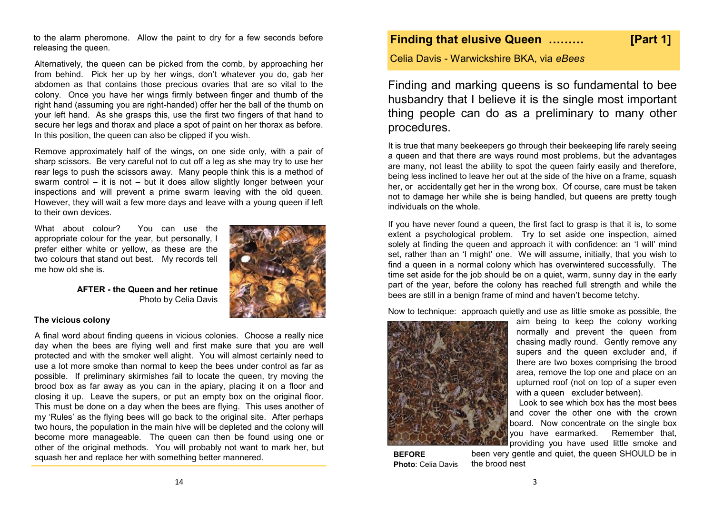to the alarm pheromone. Allow the paint to dry for a few seconds before releasing the queen.

Alternatively, the queen can be picked from the comb, by approaching her from behind. Pick her up by her wings, don't whatever you do, gab her abdomen as that contains those precious ovaries that are so vital to the colony. Once you have her wings firmly between finger and thumb of the right hand (assuming you are right-handed) offer her the ball of the thumb on your left hand. As she grasps this, use the first two fingers of that hand to secure her legs and thorax and place a spot of paint on her thorax as before. In this position, the queen can also be clipped if you wish.

Remove approximately half of the wings, on one side only, with a pair of sharp scissors. Be very careful not to cut off a leg as she may try to use her rear legs to push the scissors away. Many people think this is a method of swarm control – it is not – but it does allow slightly longer between your inspections and will prevent a prime swarm leaving with the old queen. However, they will wait a few more days and leave with a young queen if left to their own devices.

What about colour? You can use the appropriate colour for the year, but personally, I prefer either white or yellow, as these are the two colours that stand out best. My records tell me how old she is.



**AFTER - the Queen and her retinue** Photo by Celia Davis

#### **The vicious colony**

A final word about finding queens in vicious colonies. Choose a really nice day when the bees are flying well and first make sure that you are well protected and with the smoker well alight. You will almost certainly need to use a lot more smoke than normal to keep the bees under control as far as possible. If preliminary skirmishes fail to locate the queen, try moving the brood box as far away as you can in the apiary, placing it on a floor and closing it up. Leave the supers, or put an empty box on the original floor. This must be done on a day when the bees are flying. This uses another of my 'Rules' as the flying bees will go back to the original site. After perhaps two hours, the population in the main hive will be depleted and the colony will become more manageable. The queen can then be found using one or other of the original methods. You will probably not want to mark her, but squash her and replace her with something better mannered.

## **Finding that elusive Queen ……… [Part 1]**

Celia Davis - Warwickshire BKA, via *eBees*

Finding and marking queens is so fundamental to bee husbandry that I believe it is the single most important thing people can do as a preliminary to many other procedures.

It is true that many beekeepers go through their beekeeping life rarely seeing a queen and that there are ways round most problems, but the advantages are many, not least the ability to spot the queen fairly easily and therefore, being less inclined to leave her out at the side of the hive on a frame, squash her, or accidentally get her in the wrong box. Of course, care must be taken not to damage her while she is being handled, but queens are pretty tough individuals on the whole.

If you have never found a queen, the first fact to grasp is that it is, to some extent a psychological problem. Try to set aside one inspection, aimed solely at finding the queen and approach it with confidence: an 'I will' mind set, rather than an 'I might' one. We will assume, initially, that you wish to find a queen in a normal colony which has overwintered successfully. The time set aside for the job should be on a quiet, warm, sunny day in the early part of the year, before the colony has reached full strength and while the bees are still in a benign frame of mind and haven't become tetchy.

Now to technique: approach quietly and use as little smoke as possible, the



**BEFORE Before Photo**: Celia Davis aim being to keep the colony working normally and prevent the queen from chasing madly round. Gently remove any supers and the queen excluder and, if there are two boxes comprising the brood area, remove the top one and place on an upturned roof (not on top of a super even with a queen excluder between).

 Look to see which box has the most bees and cover the other one with the crown board. Now concentrate on the single box you have earmarked. Remember that, providing you have used little smoke and

been very gentle and quiet, the queen SHOULD be in the brood nest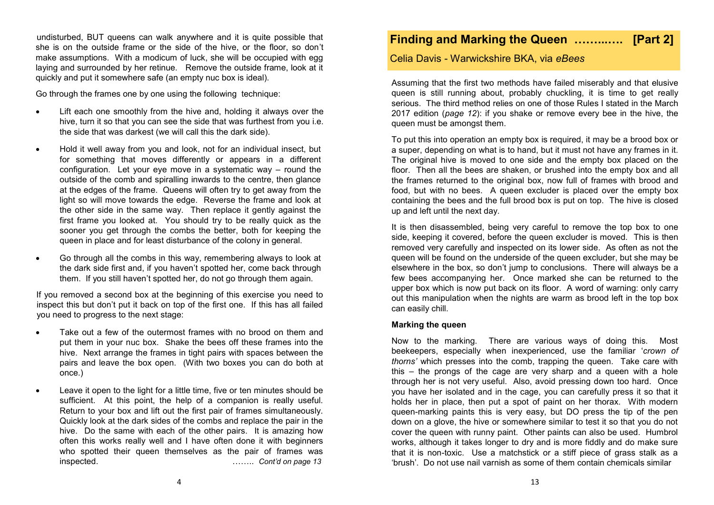undisturbed, BUT queens can walk anywhere and it is quite possible that she is on the outside frame or the side of the hive, or the floor, so don't make assumptions. With a modicum of luck, she will be occupied with egg laying and surrounded by her retinue. Remove the outside frame, look at it quickly and put it somewhere safe (an empty nuc box is ideal).

Go through the frames one by one using the following technique:

- Lift each one smoothly from the hive and, holding it always over the hive, turn it so that you can see the side that was furthest from you i.e. the side that was darkest (we will call this the dark side).
- Hold it well away from you and look, not for an individual insect, but for something that moves differently or appears in a different configuration. Let your eye move in a systematic way – round the outside of the comb and spiralling inwards to the centre, then glance at the edges of the frame. Queens will often try to get away from the light so will move towards the edge. Reverse the frame and look at the other side in the same way. Then replace it gently against the first frame you looked at. You should try to be really quick as the sooner you get through the combs the better, both for keeping the queen in place and for least disturbance of the colony in general.
- Go through all the combs in this way, remembering always to look at the dark side first and, if you haven't spotted her, come back through them. If you still haven't spotted her, do not go through them again.

If you removed a second box at the beginning of this exercise you need to inspect this but don't put it back on top of the first one. If this has all failed you need to progress to the next stage:

- Take out a few of the outermost frames with no brood on them and put them in your nuc box. Shake the bees off these frames into the hive. Next arrange the frames in tight pairs with spaces between the pairs and leave the box open. (With two boxes you can do both at once.)
- Leave it open to the light for a little time, five or ten minutes should be sufficient. At this point, the help of a companion is really useful. Return to your box and lift out the first pair of frames simultaneously. Quickly look at the dark sides of the combs and replace the pair in the hive. Do the same with each of the other pairs. It is amazing how often this works really well and I have often done it with beginners who spotted their queen themselves as the pair of frames was inspected. …….. *Cont'd on page 13*

## **Finding and Marking the Queen ……...…. [Part 2]**

Celia Davis - Warwickshire BKA, via *eBees*

Assuming that the first two methods have failed miserably and that elusive queen is still running about, probably chuckling, it is time to get really serious. The third method relies on one of those Rules I stated in the March 2017 edition (*page 12*): if you shake or remove every bee in the hive, the queen must be amongst them.

To put this into operation an empty box is required, it may be a brood box or a super, depending on what is to hand, but it must not have any frames in it. The original hive is moved to one side and the empty box placed on the floor. Then all the bees are shaken, or brushed into the empty box and all the frames returned to the original box, now full of frames with brood and food, but with no bees. A queen excluder is placed over the empty box containing the bees and the full brood box is put on top. The hive is closed up and left until the next day.

It is then disassembled, being very careful to remove the top box to one side, keeping it covered, before the queen excluder is moved. This is then removed very carefully and inspected on its lower side. As often as not the queen will be found on the underside of the queen excluder, but she may be elsewhere in the box, so don't jump to conclusions. There will always be a few bees accompanying her. Once marked she can be returned to the upper box which is now put back on its floor. A word of warning: only carry out this manipulation when the nights are warm as brood left in the top box can easily chill.

#### **Marking the queen**

Now to the marking. There are various ways of doing this. Most beekeepers, especially when inexperienced, use the familiar '*crown of thorns'* which presses into the comb, trapping the queen. Take care with this – the prongs of the cage are very sharp and a queen with a hole through her is not very useful. Also, avoid pressing down too hard. Once you have her isolated and in the cage, you can carefully press it so that it holds her in place, then put a spot of paint on her thorax. With modern queen-marking paints this is very easy, but DO press the tip of the pen down on a glove, the hive or somewhere similar to test it so that you do not cover the queen with runny paint. Other paints can also be used. Humbrol works, although it takes longer to dry and is more fiddly and do make sure that it is non-toxic. Use a matchstick or a stiff piece of grass stalk as a 'brush'. Do not use nail varnish as some of them contain chemicals similar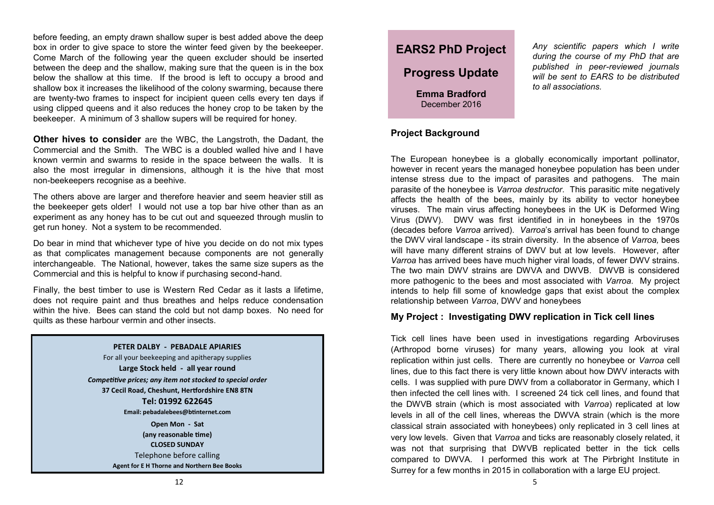before feeding, an empty drawn shallow super is best added above the deep box in order to give space to store the winter feed given by the beekeeper. Come March of the following year the queen excluder should be inserted between the deep and the shallow, making sure that the queen is in the box below the shallow at this time. If the brood is left to occupy a brood and shallow box it increases the likelihood of the colony swarming, because there are twenty-two frames to inspect for incipient queen cells every ten days if using clipped queens and it also reduces the honey crop to be taken by the beekeeper. A minimum of 3 shallow supers will be required for honey.

**Other hives to consider** are the WBC, the Langstroth, the Dadant, the Commercial and the Smith. The WBC is a doubled walled hive and I have known vermin and swarms to reside in the space between the walls. It is also the most irregular in dimensions, although it is the hive that most non-beekeepers recognise as a beehive.

The others above are larger and therefore heavier and seem heavier still as the beekeeper gets older! I would not use a top bar hive other than as an experiment as any honey has to be cut out and squeezed through muslin to get run honey. Not a system to be recommended.

Do bear in mind that whichever type of hive you decide on do not mix types as that complicates management because components are not generally interchangeable. The National, however, takes the same size supers as the Commercial and this is helpful to know if purchasing second-hand.

Finally, the best timber to use is Western Red Cedar as it lasts a lifetime, does not require paint and thus breathes and helps reduce condensation within the hive. Bees can stand the cold but not damp boxes. No need for quilts as these harbour vermin and other insects.

#### **PETER DALBY - PEBADALE APIARIES**

For all your beekeeping and apitherapy supplies **Large Stock held - all year round** *Competitive prices; any item not stocked to special order* **37 Cecil Road, Cheshunt, Hertfordshire EN8 8TN Tel: 01992 622645 Email: pebadalebees@btinternet.com Open Mon - Sat (any reasonable time) CLOSED SUNDAY** Telephone before calling **Agent for E H Thorne and Northern Bee Books**



*Any scientific papers which I write during the course of my PhD that are published in peer-reviewed journals will be sent to EARS to be distributed to all associations.* 

#### **Project Background**

The European honeybee is a globally economically important pollinator, however in recent years the managed honeybee population has been under intense stress due to the impact of parasites and pathogens. The main parasite of the honeybee is *Varroa destructor*. This parasitic mite negatively affects the health of the bees, mainly by its ability to vector honeybee viruses. The main virus affecting honeybees in the UK is Deformed Wing Virus (DWV). DWV was first identified in in honeybees in the 1970s (decades before *Varroa* arrived). *Varroa*'s arrival has been found to change the DWV viral landscape - its strain diversity. In the absence of *Varroa,* bees will have many different strains of DWV but at low levels. However, after *Varroa* has arrived bees have much higher viral loads, of fewer DWV strains. The two main DWV strains are DWVA and DWVB. DWVB is considered more pathogenic to the bees and most associated with *Varroa*. My project intends to help fill some of knowledge gaps that exist about the complex relationship between *Varroa*, DWV and honeybees

#### **My Project : Investigating DWV replication in Tick cell lines**

Tick cell lines have been used in investigations regarding Arboviruses (Arthropod borne viruses) for many years, allowing you look at viral replication within just cells. There are currently no honeybee or *Varroa* cell lines, due to this fact there is very little known about how DWV interacts with cells. I was supplied with pure DWV from a collaborator in Germany, which I then infected the cell lines with. I screened 24 tick cell lines, and found that the DWVB strain (which is most associated with *Varroa*) replicated at low levels in all of the cell lines, whereas the DWVA strain (which is the more classical strain associated with honeybees) only replicated in 3 cell lines at very low levels. Given that *Varroa* and ticks are reasonably closely related, it was not that surprising that DWVB replicated better in the tick cells compared to DWVA. I performed this work at The Pirbright Institute in Surrey for a few months in 2015 in collaboration with a large EU project.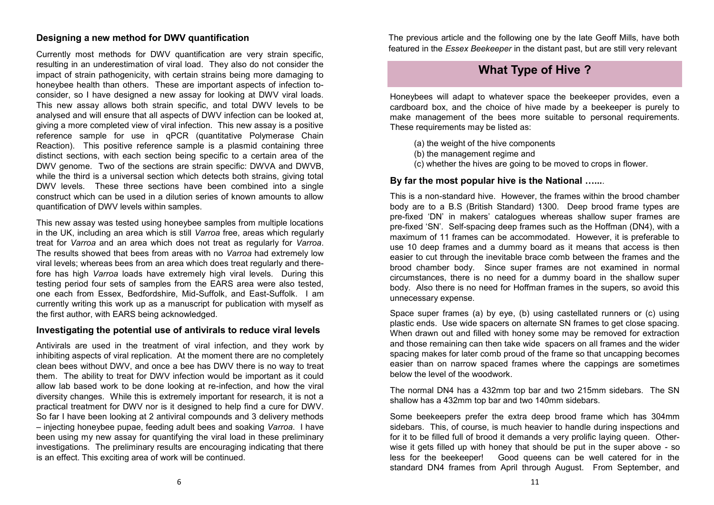#### **Designing a new method for DWV quantification**

Currently most methods for DWV quantification are very strain specific, resulting in an underestimation of viral load. They also do not consider the impact of strain pathogenicity, with certain strains being more damaging to honeybee health than others. These are important aspects of infection toconsider, so I have designed a new assay for looking at DWV viral loads. This new assay allows both strain specific, and total DWV levels to be analysed and will ensure that all aspects of DWV infection can be looked at, giving a more completed view of viral infection. This new assay is a positive reference sample for use in qPCR (quantitative Polymerase Chain Reaction). This positive reference sample is a plasmid containing three distinct sections, with each section being specific to a certain area of the DWV genome. Two of the sections are strain specific: DWVA and DWVB, while the third is a universal section which detects both strains, giving total DWV levels. These three sections have been combined into a single construct which can be used in a dilution series of known amounts to allow quantification of DWV levels within samples.

This new assay was tested using honeybee samples from multiple locations in the UK, including an area which is still *Varroa* free, areas which regularly treat for *Varroa* and an area which does not treat as regularly for *Varroa*. The results showed that bees from areas with no *Varroa* had extremely low viral levels; whereas bees from an area which does treat regularly and therefore has high *Varroa* loads have extremely high viral levels. During this testing period four sets of samples from the EARS area were also tested, one each from Essex, Bedfordshire, Mid-Suffolk, and East-Suffolk. I am currently writing this work up as a manuscript for publication with myself as the first author, with EARS being acknowledged.

#### **Investigating the potential use of antivirals to reduce viral levels**

Antivirals are used in the treatment of viral infection, and they work by inhibiting aspects of viral replication. At the moment there are no completely clean bees without DWV, and once a bee has DWV there is no way to treat them. The ability to treat for DWV infection would be important as it could allow lab based work to be done looking at re-infection, and how the viral diversity changes. While this is extremely important for research, it is not a practical treatment for DWV nor is it designed to help find a cure for DWV. So far I have been looking at 2 antiviral compounds and 3 delivery methods – injecting honeybee pupae, feeding adult bees and soaking *Varroa*. I have been using my new assay for quantifying the viral load in these preliminary investigations. The preliminary results are encouraging indicating that there is an effect. This exciting area of work will be continued.

The previous article and the following one by the late Geoff Mills, have both featured in the *Essex Beekeeper* in the distant past, but are still very relevant

## **What Type of Hive ?**

Honeybees will adapt to whatever space the beekeeper provides, even a cardboard box, and the choice of hive made by a beekeeper is purely to make management of the bees more suitable to personal requirements. These requirements may be listed as:

- (a) the weight of the hive components
- (b) the management regime and
- (c) whether the hives are going to be moved to crops in flower.

#### **By far the most popular hive is the National …...**.

This is a non-standard hive. However, the frames within the brood chamber body are to a B.S (British Standard) 1300. Deep brood frame types are pre-fixed 'DN' in makers' catalogues whereas shallow super frames are pre-fixed 'SN'. Self-spacing deep frames such as the Hoffman (DN4), with a maximum of 11 frames can be accommodated. However, it is preferable to use 10 deep frames and a dummy board as it means that access is then easier to cut through the inevitable brace comb between the frames and the brood chamber body. Since super frames are not examined in normal circumstances, there is no need for a dummy board in the shallow super body. Also there is no need for Hoffman frames in the supers, so avoid this unnecessary expense.

Space super frames (a) by eye, (b) using castellated runners or (c) using plastic ends. Use wide spacers on alternate SN frames to get close spacing. When drawn out and filled with honey some may be removed for extraction and those remaining can then take wide spacers on all frames and the wider spacing makes for later comb proud of the frame so that uncapping becomes easier than on narrow spaced frames where the cappings are sometimes below the level of the woodwork.

The normal DN4 has a 432mm top bar and two 215mm sidebars. The SN shallow has a 432mm top bar and two 140mm sidebars.

Some beekeepers prefer the extra deep brood frame which has 304mm sidebars. This, of course, is much heavier to handle during inspections and for it to be filled full of brood it demands a very prolific laying queen. Otherwise it gets filled up with honey that should be put in the super above - so less for the beekeeper! Good queens can be well catered for in the standard DN4 frames from April through August. From September, and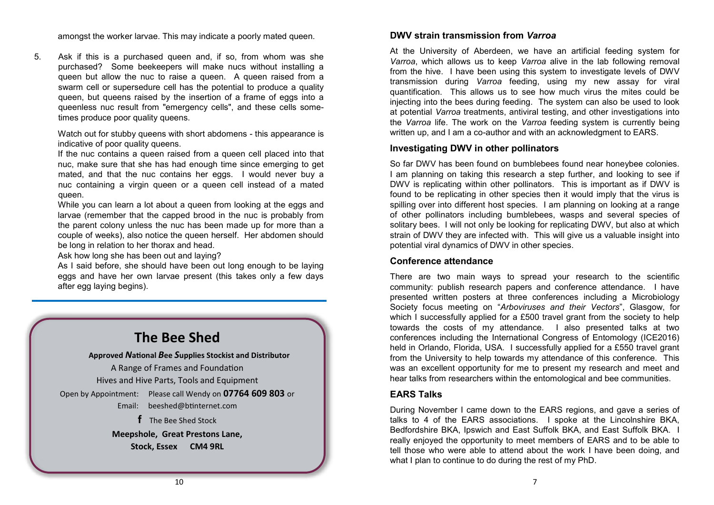amongst the worker larvae. This may indicate a poorly mated queen.

5. Ask if this is a purchased queen and, if so, from whom was she purchased? Some beekeepers will make nucs without installing a queen but allow the nuc to raise a queen. A queen raised from a swarm cell or supersedure cell has the potential to produce a quality queen, but queens raised by the insertion of a frame of eggs into a queenless nuc result from "emergency cells", and these cells sometimes produce poor quality queens.

Watch out for stubby queens with short abdomens - this appearance is indicative of poor quality queens.

If the nuc contains a queen raised from a queen cell placed into that nuc, make sure that she has had enough time since emerging to get mated, and that the nuc contains her eggs. I would never buy a nuc containing a virgin queen or a queen cell instead of a mated queen.

While you can learn a lot about a queen from looking at the eggs and larvae (remember that the capped brood in the nuc is probably from the parent colony unless the nuc has been made up for more than a couple of weeks), also notice the queen herself. Her abdomen should be long in relation to her thorax and head.

Ask how long she has been out and laying?

As I said before, she should have been out long enough to be laying eggs and have her own larvae present (this takes only a few days after egg laying begins).

## **The Bee Shed**

**Approved** *N***ational** *B***ee** *S***upplies Stockist and Distributor** A Range of Frames and Foundation Hives and Hive Parts, Tools and Equipment Open by Appointment: Please call Wendy on **07764 609 803** or Email: [beeshed@btinternet.com](mailto:beeshed@btinternet.com)  **f** The Bee Shed Stock

> **Meepshole, Great Prestons Lane, Stock, Essex CM4 9RL**

#### **DWV strain transmission from** *Varroa*

At the University of Aberdeen, we have an artificial feeding system for *Varroa*, which allows us to keep *Varroa* alive in the lab following removal from the hive. I have been using this system to investigate levels of DWV transmission during *Varroa* feeding, using my new assay for viral quantification. This allows us to see how much virus the mites could be injecting into the bees during feeding. The system can also be used to look at potential *Varroa* treatments, antiviral testing, and other investigations into the *Varroa* life. The work on the *Varroa* feeding system is currently being written up, and I am a co-author and with an acknowledgment to EARS.

#### **Investigating DWV in other pollinators**

So far DWV has been found on bumblebees found near honeybee colonies. I am planning on taking this research a step further, and looking to see if DWV is replicating within other pollinators. This is important as if DWV is found to be replicating in other species then it would imply that the virus is spilling over into different host species. I am planning on looking at a range of other pollinators including bumblebees, wasps and several species of solitary bees. I will not only be looking for replicating DWV, but also at which strain of DWV they are infected with. This will give us a valuable insight into potential viral dynamics of DWV in other species.

#### **Conference attendance**

There are two main ways to spread your research to the scientific community: publish research papers and conference attendance. I have presented written posters at three conferences including a Microbiology Society focus meeting on "*Arboviruses and their Vectors*", Glasgow, for which I successfully applied for a £500 travel grant from the society to help towards the costs of my attendance. I also presented talks at two conferences including the International Congress of Entomology (ICE2016) held in Orlando, Florida, USA. I successfully applied for a £550 travel grant from the University to help towards my attendance of this conference. This was an excellent opportunity for me to present my research and meet and hear talks from researchers within the entomological and bee communities.

#### **EARS Talks**

During November I came down to the EARS regions, and gave a series of talks to 4 of the EARS associations. I spoke at the Lincolnshire BKA, Bedfordshire BKA, Ipswich and East Suffolk BKA, and East Suffolk BKA. I really enjoyed the opportunity to meet members of EARS and to be able to tell those who were able to attend about the work I have been doing, and what I plan to continue to do during the rest of my PhD.